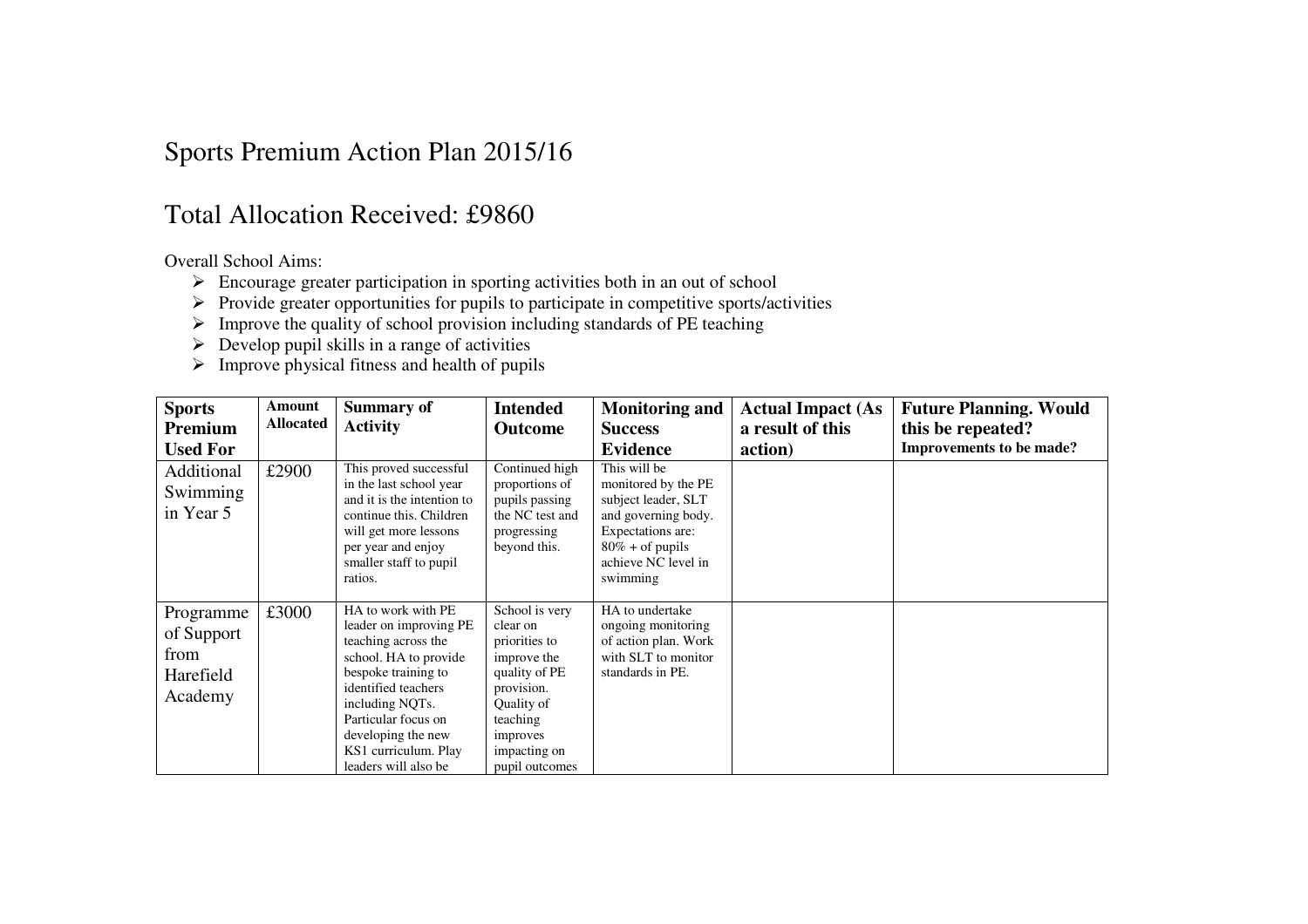## Sports Premium Action Plan 2015/16

## Total Allocation Received: £9860

Overall School Aims:

- $\geq$  Encourage greater participation in sporting activities both in an out of school
- Provide greater opportunities for pupils to participate in competitive sports/activities
- Improve the quality of school provision including standards of PE teaching
- $\triangleright$  Develop pupil skills in a range of activities
- $\triangleright$  Improve physical fitness and health of pupils

| <b>Sports</b>                                           | Amount    | <b>Summary of</b>                                                                                                                                                                                                                                          | <b>Intended</b>                                                                                                                                                   | <b>Monitoring and</b>                                                                                                                                           | <b>Actual Impact (As</b> | <b>Future Planning. Would</b>   |
|---------------------------------------------------------|-----------|------------------------------------------------------------------------------------------------------------------------------------------------------------------------------------------------------------------------------------------------------------|-------------------------------------------------------------------------------------------------------------------------------------------------------------------|-----------------------------------------------------------------------------------------------------------------------------------------------------------------|--------------------------|---------------------------------|
| <b>Premium</b>                                          | Allocated | <b>Activity</b>                                                                                                                                                                                                                                            | <b>Outcome</b>                                                                                                                                                    | <b>Success</b>                                                                                                                                                  | a result of this         | this be repeated?               |
| <b>Used For</b>                                         |           |                                                                                                                                                                                                                                                            |                                                                                                                                                                   | <b>Evidence</b>                                                                                                                                                 | action)                  | <b>Improvements to be made?</b> |
| Additional<br>Swimming<br>in Year 5                     | £2900     | This proved successful<br>in the last school year<br>and it is the intention to<br>continue this. Children<br>will get more lessons<br>per year and enjoy<br>smaller staff to pupil<br>ratios.                                                             | Continued high<br>proportions of<br>pupils passing<br>the NC test and<br>progressing<br>beyond this.                                                              | This will be<br>monitored by the PE<br>subject leader, SLT<br>and governing body.<br>Expectations are:<br>$80\%$ + of pupils<br>achieve NC level in<br>swimming |                          |                                 |
| Programme<br>of Support<br>from<br>Harefield<br>Academy | £3000     | HA to work with PE<br>leader on improving PE<br>teaching across the<br>school. HA to provide<br>bespoke training to<br>identified teachers<br>including NQTs.<br>Particular focus on<br>developing the new<br>KS1 curriculum. Play<br>leaders will also be | School is very<br>clear on<br>priorities to<br>improve the<br>quality of PE<br>provision.<br>Quality of<br>teaching<br>improves<br>impacting on<br>pupil outcomes | HA to undertake<br>ongoing monitoring<br>of action plan. Work<br>with SLT to monitor<br>standards in PE.                                                        |                          |                                 |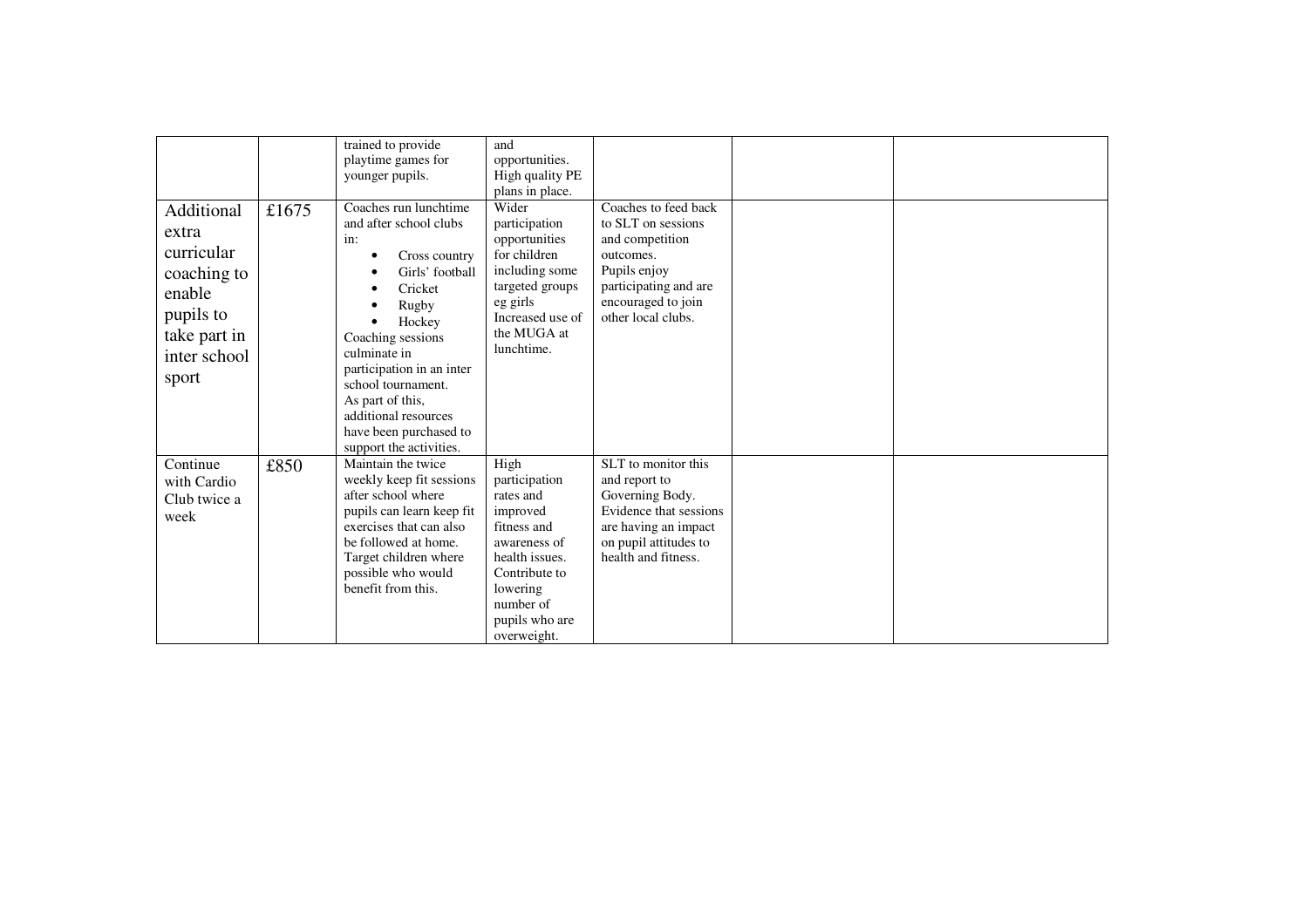| Additional<br>extra<br>curricular<br>coaching to<br>enable<br>pupils to<br>take part in<br>inter school<br>sport | £1675 | trained to provide<br>playtime games for<br>younger pupils.<br>Coaches run lunchtime<br>and after school clubs<br>in:<br>Cross country<br>Girls' football<br>Cricket<br>Rugby<br>Hockey<br>Coaching sessions<br>culminate in<br>participation in an inter<br>school tournament.<br>As part of this,<br>additional resources<br>have been purchased to | and<br>opportunities.<br>High quality PE<br>plans in place.<br>Wider<br>participation<br>opportunities<br>for children<br>including some<br>targeted groups<br>eg girls<br>Increased use of<br>the MUGA at<br>lunchtime. | Coaches to feed back<br>to SLT on sessions<br>and competition<br>outcomes.<br>Pupils enjoy<br>participating and are<br>encouraged to join<br>other local clubs. |  |
|------------------------------------------------------------------------------------------------------------------|-------|-------------------------------------------------------------------------------------------------------------------------------------------------------------------------------------------------------------------------------------------------------------------------------------------------------------------------------------------------------|--------------------------------------------------------------------------------------------------------------------------------------------------------------------------------------------------------------------------|-----------------------------------------------------------------------------------------------------------------------------------------------------------------|--|
| Continue<br>with Cardio<br>Club twice a<br>week                                                                  | £850  | support the activities.<br>Maintain the twice<br>weekly keep fit sessions<br>after school where<br>pupils can learn keep fit<br>exercises that can also<br>be followed at home.<br>Target children where<br>possible who would<br>benefit from this.                                                                                                  | High<br>participation<br>rates and<br>improved<br>fitness and<br>awareness of<br>health issues.<br>Contribute to<br>lowering<br>number of<br>pupils who are<br>overweight.                                               | SLT to monitor this<br>and report to<br>Governing Body.<br>Evidence that sessions<br>are having an impact<br>on pupil attitudes to<br>health and fitness.       |  |